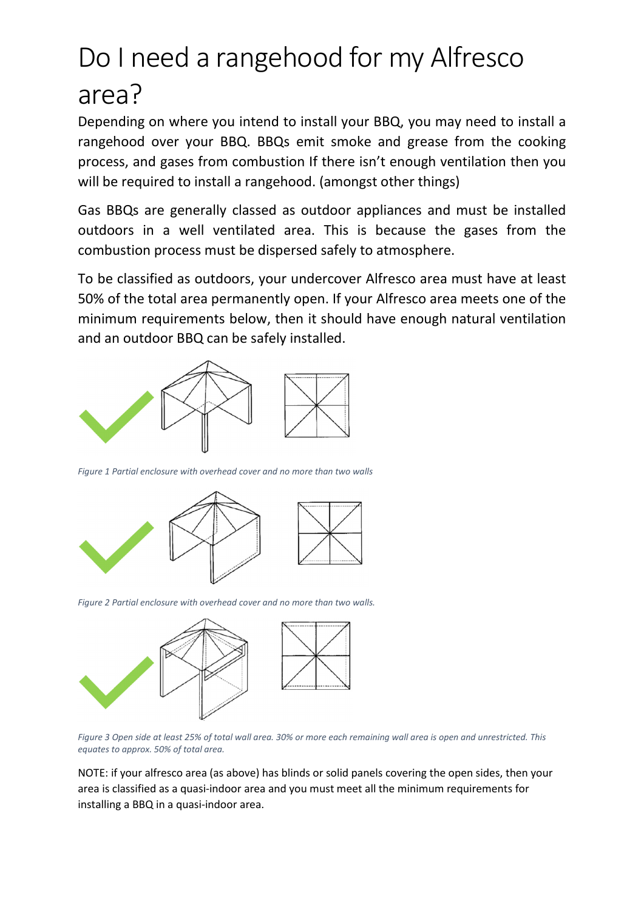## Do I need a rangehood for my Alfresco area?

Depending on where you intend to install your BBQ, you may need to install a rangehood over your BBQ. BBQs emit smoke and grease from the cooking process, and gases from combustion If there isn't enough ventilation then you will be required to install a rangehood. (amongst other things)

Gas BBQs are generally classed as outdoor appliances and must be installed outdoors in a well ventilated area. This is because the gases from the combustion process must be dispersed safely to atmosphere.

To be classified as outdoors, your undercover Alfresco area must have at least 50% of the total area permanently open. If your Alfresco area meets one of the minimum requirements below, then it should have enough natural ventilation and an outdoor BBQ can be safely installed.



*Figure 1 Partial enclosure with overhead cover and no more than two walls*



*Figure 2 Partial enclosure with overhead cover and no more than two walls.*



*Figure 3 Open side at least 25% of total wall area. 30% or more each remaining wall area is open and unrestricted. This equates to approx. 50% of total area.*

NOTE: if your alfresco area (as above) has blinds or solid panels covering the open sides, then your area is classified as a quasi-indoor area and you must meet all the minimum requirements for installing a BBQ in a quasi-indoor area.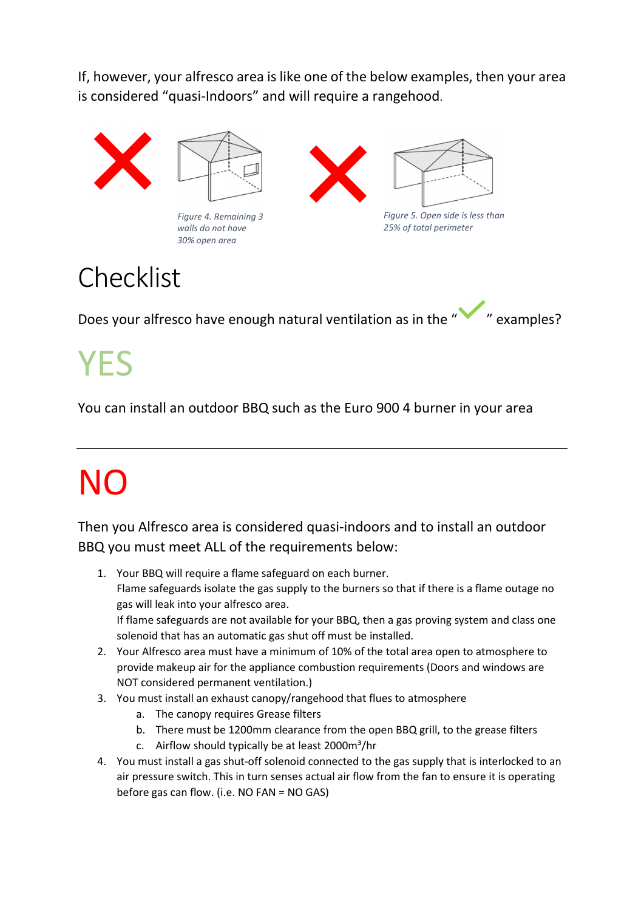If, however, your alfresco area is like one of the below examples, then your area is considered "quasi-Indoors" and will require a rangehood.



## **Checklist**

*30% open area*

Does your alfresco have enough natural ventilation as in the " " examples?

## YES

You can install an outdoor BBQ such as the Euro 900 4 burner in your area

## NO

Then you Alfresco area is considered quasi-indoors and to install an outdoor BBQ you must meet ALL of the requirements below:

- 1. Your BBQ will require a flame safeguard on each burner. Flame safeguards isolate the gas supply to the burners so that if there is a flame outage no gas will leak into your alfresco area. If flame safeguards are not available for your BBQ, then a gas proving system and class one solenoid that has an automatic gas shut off must be installed.
- 2. Your Alfresco area must have a minimum of 10% of the total area open to atmosphere to provide makeup air for the appliance combustion requirements (Doors and windows are NOT considered permanent ventilation.)
- 3. You must install an exhaust canopy/rangehood that flues to atmosphere
	- a. The canopy requires Grease filters
	- b. There must be 1200mm clearance from the open BBQ grill, to the grease filters
	- c. Airflow should typically be at least 2000m<sup>3</sup>/hr
- 4. You must install a gas shut-off solenoid connected to the gas supply that is interlocked to an air pressure switch. This in turn senses actual air flow from the fan to ensure it is operating before gas can flow. (i.e. NO FAN = NO GAS)